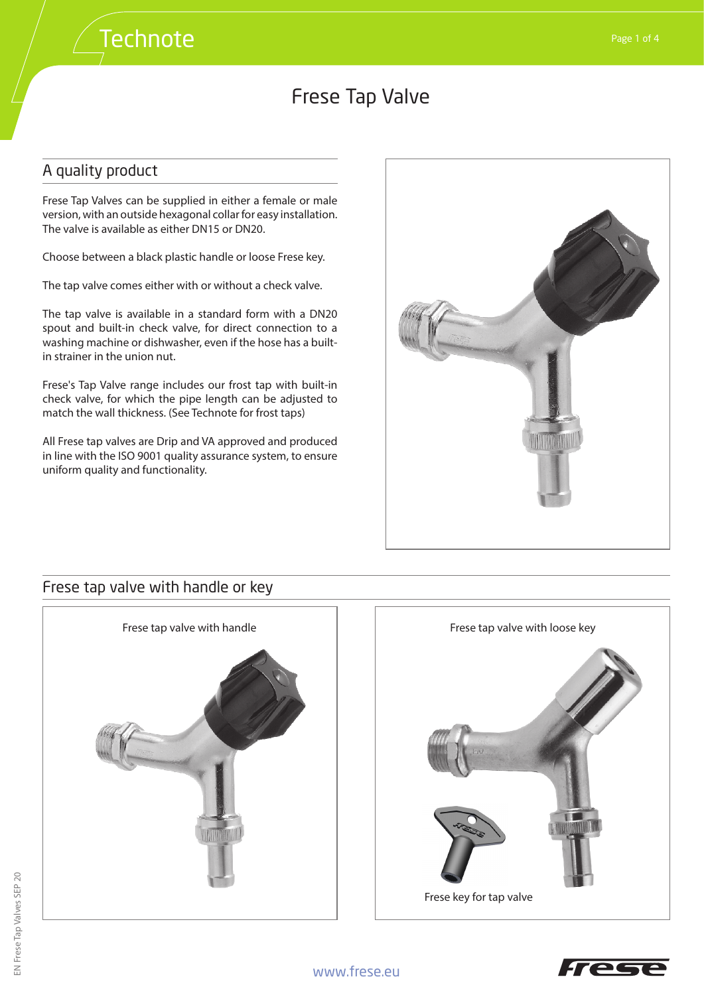## A quality product

Frese Tap Valves can be supplied in either a female or male version, with an outside hexagonal collar for easy installation. The valve is available as either DN15 or DN20.

Choose between a black plastic handle or loose Frese key.

The tap valve comes either with or without a check valve.

The tap valve is available in a standard form with a DN20 spout and built-in check valve, for direct connection to a washing machine or dishwasher, even if the hose has a builtin strainer in the union nut.

Frese's Tap Valve range includes our frost tap with built-in check valve, for which the pipe length can be adjusted to match the wall thickness. (See Technote for frost taps)

All Frese tap valves are Drip and VA approved and produced in line with the ISO 9001 quality assurance system, to ensure uniform quality and functionality.



### Frese tap valve with handle or key



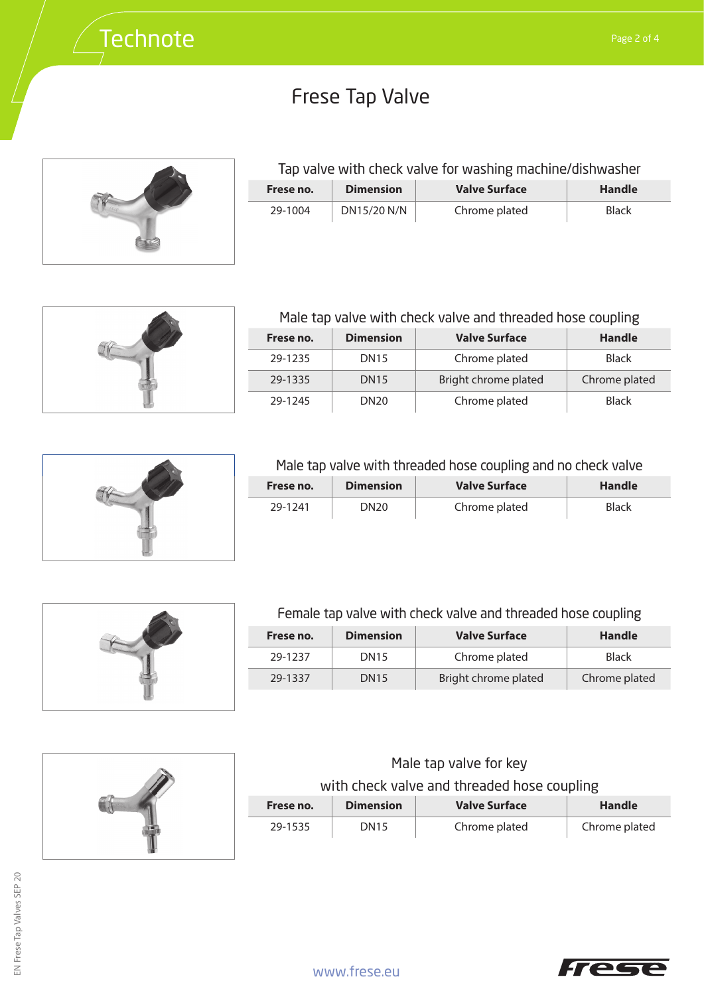

## Tap valve with check valve for washing machine/dishwasher

| Frese no. | <b>Dimension</b> | <b>Valve Surface</b> | <b>Handle</b> |
|-----------|------------------|----------------------|---------------|
| 29-1004   | DN15/20 N/N      | Chrome plated        | Black         |



# Male tap valve with check valve and threaded hose coupling

| Frese no. | <b>Dimension</b> | <b>Valve Surface</b> | Handle        |
|-----------|------------------|----------------------|---------------|
| 29-1235   | <b>DN15</b>      | Chrome plated        | <b>Black</b>  |
| 29-1335   | <b>DN15</b>      | Bright chrome plated | Chrome plated |
| 29-1245   | DN <sub>20</sub> | Chrome plated        | <b>Black</b>  |



#### Male tap valve with threaded hose coupling and no check valve

| Frese no. | <b>Dimension</b> | Valve Surface | Handle       |
|-----------|------------------|---------------|--------------|
| 29-1241   | DN20             | Chrome plated | <b>Black</b> |





#### Female tap valve with check valve and threaded hose coupling

| Frese no. | <b>Dimension</b> | <b>Valve Surface</b> | <b>Handle</b> |
|-----------|------------------|----------------------|---------------|
| 29-1237   | <b>DN15</b>      | Chrome plated        | <b>Black</b>  |
| 29-1337   | <b>DN15</b>      | Bright chrome plated | Chrome plated |

#### Male tap valve for key

## with check valve and threaded hose coupling

| Frese no. | <b>Dimension</b> | <b>Valve Surface</b> | Handle        |
|-----------|------------------|----------------------|---------------|
| 29-1535   | <b>DN15</b>      | Chrome plated        | Chrome plated |

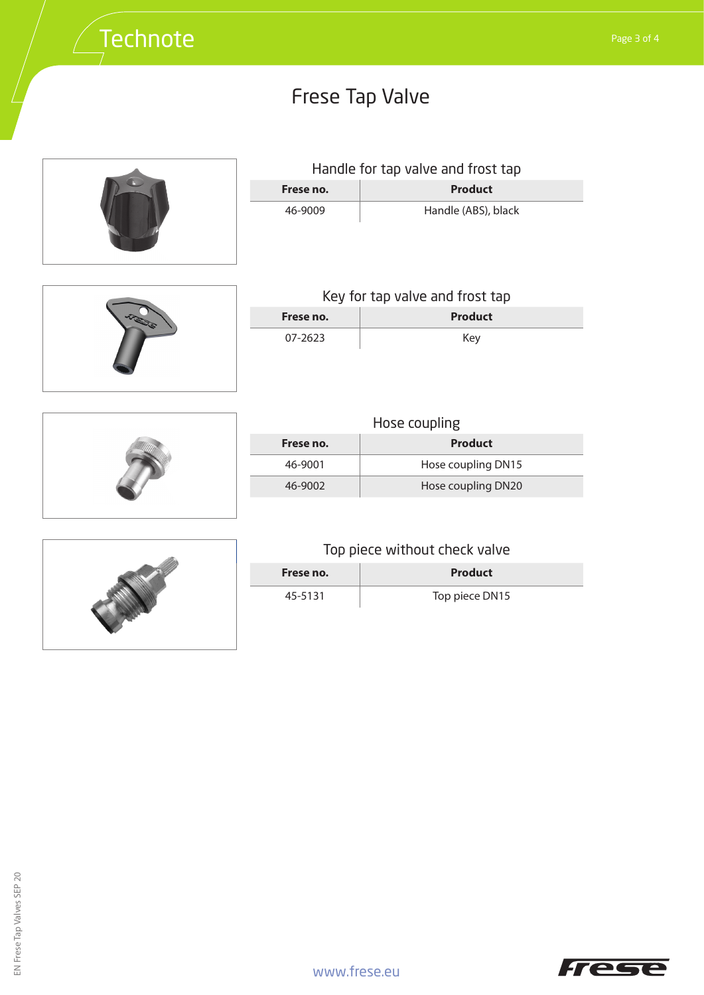

|           | Handle for tap valve and frost tap |
|-----------|------------------------------------|
| Frese no. | <b>Product</b>                     |

| 46-9009 | Handle (ABS), black |
|---------|---------------------|



| Key for tap valve and frost tap |                |  |
|---------------------------------|----------------|--|
| Frese no.                       | <b>Product</b> |  |
| 07-2623                         | Kev            |  |



 $\overline{\phantom{a}}$ 

|           | Hose coupling      |
|-----------|--------------------|
| Frese no. | <b>Product</b>     |
| 46-9001   | Hose coupling DN15 |
| 46-9002   | Hose coupling DN20 |



## Top piece without check valve

| Frese no. | Product        |
|-----------|----------------|
| 45-5131   | Top piece DN15 |